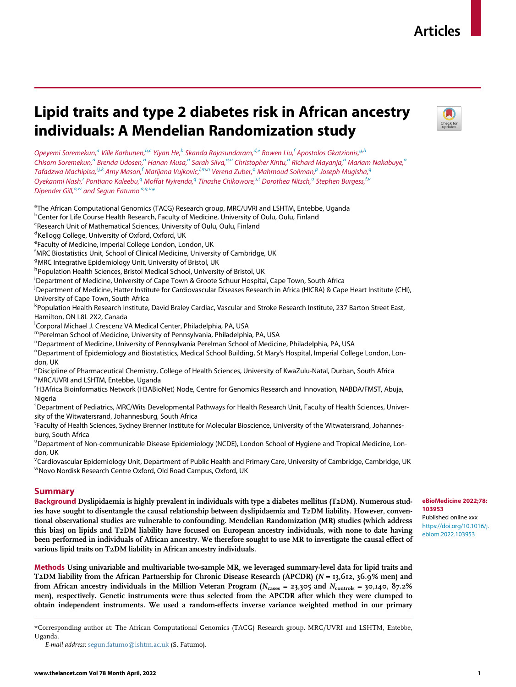## Articles

# Lipid traits and type 2 diabetes risk in African ancestry individuals: A Mendelian Randomization study



Opeyemi Soremekun,<sup>[a](#page-0-0)</sup> Ville Karhunen,<sup>[b](#page-0-1)[,c](#page-0-2)</sup> Yiyan He,<sup>b</sup> Skan[d](#page-0-3)a Rajasundaram,<sup>d[,e](#page-0-4)</sup> Bowen Liu,<sup>[f](#page-0-5)</sup> Apostolos Gkatzionis,<sup>[g](#page-0-6),[h](#page-0-7)</sup> Chisom Soremekun,<sup>[a](#page-0-0)</s[u](#page-0-8)p> Brenda Udosen,<sup>a</sup> Hanan Musa,<sup>a</sup> Sarah Silva,<sup>a,u</sup> Christopher Kintu,<sup>a</sup> Richard Mayanja,<sup>a</sup> Mariam Nakabuye,<sup>a</sup> Ta[f](#page-0-5)adzwa Machi[p](#page-0-16)isa, $^{i,j,k}$  $^{i,j,k}$  $^{i,j,k}$  $^{i,j,k}$  $^{i,j,k}$  $^{i,j,k}$  A[m](#page-0-13)y Mas[o](#page-0-15)n, $^f$ Marijana Vujkovic, $^{l,m,n}$  $^{l,m,n}$  $^{l,m,n}$  $^{l,m,n}$  $^{l,m,n}$  Verena Zuber, $^{\rm o}$  Mahmoud Soliman, $^p$  Joseph Mugisha, $^q$  $^q$ Oyekanmi Nash,<sup>[r](#page-0-18)</sup> Pontiano Kaleebu,<sup>[q](#page-0-17)</[s](#page-0-19)up> Moffat Nyirenda,<sup>q</sup> Tinashe Chikowore,<sup>s[,t](#page-0-20)</s[u](#page-0-8)p> Dorothea Nitsch,<sup>u</sup> Stephen Burgess,<sup>[f,](#page-0-5)[v](#page-0-21)</sup> Dipender Gill, $^{\circ,w}$  $^{\circ,w}$  $^{\circ,w}$  and Segun Fatum[o](#page-0-15)  $^{a,q,u}$  $^{a,q,u}$  $^{a,q,u}$  $^{a,q,u}$  $^{a,q,u}$  $^{a,q,u}$ 

<span id="page-0-0"></span><sup>a</sup>The African Computational Genomics (TACG) Research group, MRC/UVRI and LSHTM, Entebbe, Uganda

<span id="page-0-1"></span><sup>b</sup>Center for Life Course Health Research, Faculty of Medicine, University of Oulu, Oulu, Finland

<span id="page-0-2"></span><sup>c</sup>Research Unit of Mathematical Sciences, University of Oulu, Oulu, Finland

<span id="page-0-3"></span>d Kellogg College, University of Oxford, Oxford, UK

<span id="page-0-4"></span><sup>e</sup>Faculty of Medicine, Imperial College London, London, UK

<span id="page-0-5"></span><sup>f</sup>MRC Biostatistics Unit, School of Clinical Medicine, University of Cambridge, UK

<span id="page-0-6"></span><sup>g</sup>MRC Integrative Epidemiology Unit, University of Bristol, UK

<span id="page-0-7"></span>h Population Health Sciences, Bristol Medical School, University of Bristol, UK

<span id="page-0-9"></span>i Department of Medicine, University of Cape Town & Groote Schuur Hospital, Cape Town, South Africa

<span id="page-0-10"></span><sup>j</sup> Department of Medicine, Hatter Institute for Cardiovascular Diseases Research in Africa (HICRA) & Cape Heart Institute (CHI), University of Cape Town, South Africa

<span id="page-0-11"></span><sup>k</sup> Population Health Research Institute, David Braley Cardiac, Vascular and Stroke Research Institute, 237 Barton Street East, Hamilton, ON L8L 2X2, Canada

<span id="page-0-12"></span><sup>I</sup>Corporal Michael J. Crescenz VA Medical Center, Philadelphia, PA, USA

<span id="page-0-13"></span>mPerelman School of Medicine, University of Pennsylvania, Philadelphia, PA, USA

<span id="page-0-14"></span>n Department of Medicine, University of Pennsylvania Perelman School of Medicine, Philadelphia, PA, USA

<span id="page-0-15"></span><sup>o</sup>Department of Epidemiology and Biostatistics, Medical School Building, St Mary's Hospital, Imperial College London, London, UK

<span id="page-0-17"></span><span id="page-0-16"></span>PDiscipline of Pharmaceutical Chemistry, College of Health Sciences, University of KwaZulu-Natal, Durban, South Africa <sup>q</sup>MRC/UVRI and LSHTM, Entebbe, Uganda

<span id="page-0-18"></span>r H3Africa Bioinformatics Network (H3ABioNet) Node, Centre for Genomics Research and Innovation, NABDA/FMST, Abuja, Nigeria

<span id="page-0-19"></span><sup>s</sup> Department of Pediatrics, MRC/Wits Developmental Pathways for Health Research Unit, Faculty of Health Sciences, University of the Witwatersrand, Johannesburg, South Africa

<span id="page-0-20"></span>t Faculty of Health Sciences, Sydney Brenner Institute for Molecular Bioscience, University of the Witwatersrand, Johannesburg, South Africa

<span id="page-0-8"></span>u Department of Non-communicable Disease Epidemiology (NCDE), London School of Hygiene and Tropical Medicine, London, UK

<span id="page-0-22"></span><span id="page-0-21"></span><sup>v</sup>Cardiovascular Epidemiology Unit, Department of Public Health and Primary Care, University of Cambridge, Cambridge, UK wNovo Nordisk Research Centre Oxford, Old Road Campus, Oxford, UK

## Summary

Background Dyslipidaemia is highly prevalent in individuals with type 2 diabetes mellitus (T2DM). Numerous studies have sought to disentangle the causal relationship between dyslipidaemia and T2DM liability. However, conventional observational studies are vulnerable to confounding. Mendelian Randomization (MR) studies (which address this bias) on lipids and T2DM liability have focused on European ancestry individuals, with none to date having been performed in individuals of African ancestry. We therefore sought to use MR to investigate the causal effect of various lipid traits on T2DM liability in African ancestry individuals.

Methods Using univariable and multivariable two-sample MR, we leveraged summary-level data for lipid traits and T2DM liability from the African Partnership for Chronic Disease Research (APCDR) ( $N = 13,612, 36.9\%$  men) and from African ancestry individuals in the Million Veteran Program ( $N_{\text{cases}} = 23,305$  and  $N_{\text{controls}} = 30,140, 87.2\%$ men), respectively. Genetic instruments were thus selected from the APCDR after which they were clumped to obtain independent instruments. We used a random-effects inverse variance weighted method in our primary

<span id="page-0-23"></span>\*Corresponding author at: The African Computational Genomics (TACG) Research group, MRC/UVRI and LSHTM, Entebbe, Uganda.

E-mail address: [segun.fatumo@lshtm.ac.uk](mailto:segun.fatumo@lshtm.ac.uk) (S. Fatumo).

#### www.thelancet.com Vol 78 Month April, 2022 1

## eBioMedicine 2022;78: 103953

Published online xxx [https://doi.org/10.1016/j.](https://doi.org/10.1016/j.ebiom.2022.103953) [ebiom.2022.103953](https://doi.org/10.1016/j.ebiom.2022.103953)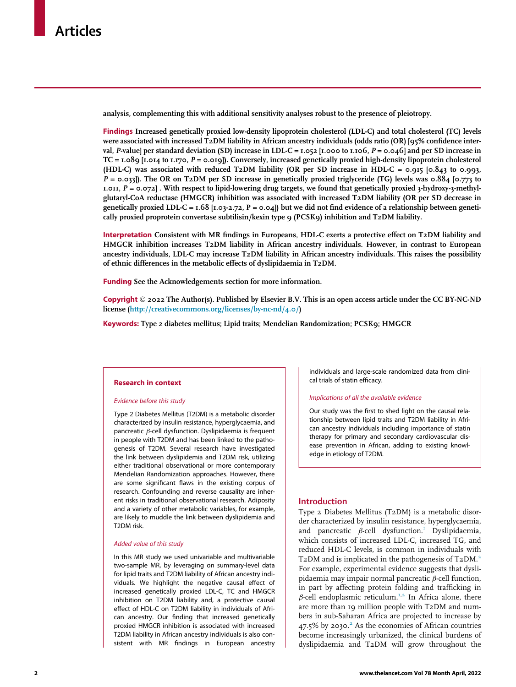analysis, complementing this with additional sensitivity analyses robust to the presence of pleiotropy.

Findings Increased genetically proxied low-density lipoprotein cholesterol (LDL-C) and total cholesterol (TC) levels were associated with increased T2DM liability in African ancestry individuals (odds ratio (OR) [95% confidence interval, P-value] per standard deviation (SD) increase in LDL-C = 1.052 [1.000 to 1.106,  $P = 0.046$ ] and per SD increase in  $TC = I.089$  [1.014 to 1.170,  $P = 0.019$ ]). Conversely, increased genetically proxied high-density lipoprotein cholesterol (HDL-C) was associated with reduced T2DM liability (OR per SD increase in HDL-C = 0.915 [0.843 to 0.993, P = 0.033]). The OR on T2DM per SD increase in genetically proxied triglyceride (TG) levels was 0.884 [0.773 to 1.011,  $P = 0.072$ . With respect to lipid-lowering drug targets, we found that genetically proxied 3-hydroxy-3-methylglutaryl-CoA reductase (HMGCR) inhibition was associated with increased T2DM liability (OR per SD decrease in genetically proxied LDL-C =  $1.68$  [ $1.03-2.72$ ,  $P = 0.04$ ]) but we did not find evidence of a relationship between genetically proxied proprotein convertase subtilisin/kexin type 9 (PCSK9) inhibition and T2DM liability.

Interpretation Consistent with MR findings in Europeans, HDL-C exerts a protective effect on T2DM liability and HMGCR inhibition increases T2DM liability in African ancestry individuals. However, in contrast to European ancestry individuals, LDL-C may increase T2DM liability in African ancestry individuals. This raises the possibility of ethnic differences in the metabolic effects of dyslipidaemia in T2DM.

Funding See the Acknowledgements section for more information.

Copyright  $\odot$  2022 The Author(s). Published by Elsevier B.V. This is an open access article under the CC BY-NC-ND license (<http://creativecommons.org/licenses/by-nc-nd/4.0/>)

Keywords: Type 2 diabetes mellitus; Lipid traits; Mendelian Randomization; PCSK9; HMGCR

## Research in context

#### Evidence before this study

Type 2 Diabetes Mellitus (T2DM) is a metabolic disorder characterized by insulin resistance, hyperglycaemia, and pancreatic  $\beta$ -cell dysfunction. Dyslipidaemia is frequent in people with T2DM and has been linked to the pathogenesis of T2DM. Several research have investigated the link between dyslipidemia and T2DM risk, utilizing either traditional observational or more contemporary Mendelian Randomization approaches. However, there are some significant flaws in the existing corpus of research. Confounding and reverse causality are inherent risks in traditional observational research. Adiposity and a variety of other metabolic variables, for example, are likely to muddle the link between dyslipidemia and T2DM risk.

#### Added value of this study

In this MR study we used univariable and multivariable two-sample MR, by leveraging on summary-level data for lipid traits and T2DM liability of African ancestry individuals. We highlight the negative causal effect of increased genetically proxied LDL-C, TC and HMGCR inhibition on T2DM liability and, a protective causal effect of HDL-C on T2DM liability in individuals of African ancestry. Our finding that increased genetically proxied HMGCR inhibition is associated with increased T2DM liability in African ancestry individuals is also consistent with MR findings in European ancestry

individuals and large-scale randomized data from clinical trials of statin efficacy.

#### Implications of all the available evidence

Our study was the first to shed light on the causal relationship between lipid traits and T2DM liability in African ancestry individuals including importance of statin therapy for primary and secondary cardiovascular disease prevention in African, adding to existing knowledge in etiology of T2DM.

## Introduction

Type 2 Diabetes Mellitus (T2DM) is a metabolic disorder characterized by insulin resistance, hyperglycaemia, and pancreatic  $\beta$ -cell dysfunction.<sup>[1](#page-7-0)</sup> Dyslipidaemia, which consists of increased LDL-C, increased TG, and reduced HDL-C levels, is common in individuals with T[2](#page-7-1)DM and is implicated in the pathogenesis of T2DM.<sup>2</sup> For example, experimental evidence suggests that dyslipidaemia may impair normal pancreatic  $\beta$ -cell function, in part by affecting protein folding and trafficking in  $\beta$ -cell endoplasmic reticulum.<sup>[1](#page-7-0)[,2](#page-7-1)</sup> In Africa alone, there are more than 19 million people with T2DM and numbers in sub-Saharan Africa are projected to increase by  $47.5\%$  by 2030.<sup>2</sup> As the economies of African countries become increasingly urbanized, the clinical burdens of dyslipidaemia and T2DM will grow throughout the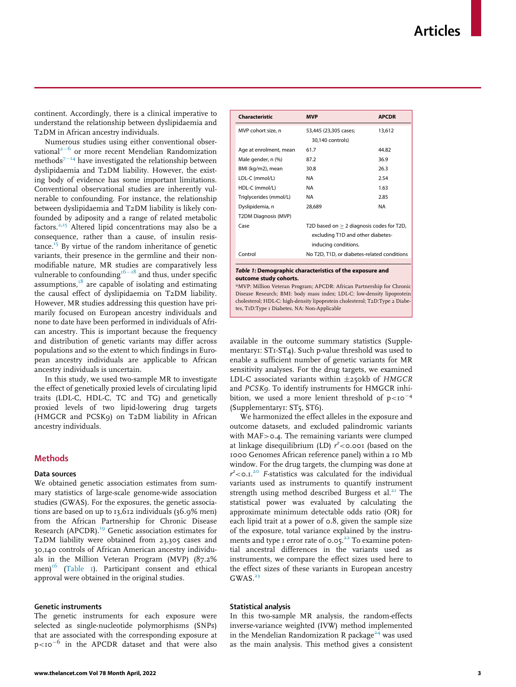<span id="page-2-0"></span>continent. Accordingly, there is a clinical imperative to understand the relationship between dyslipidaemia and T2DM in African ancestry individuals.

Numerous studies using either conventional observational $2^{-6}$  $2^{-6}$  $2^{-6}$  $2^{-6}$  or more recent Mendelian Randomization methods $7-14$  $7-14$  $7-14$  have investigated the relationship between dyslipidaemia and T2DM liability. However, the existing body of evidence has some important limitations. Conventional observational studies are inherently vulnerable to confounding. For instance, the relationship between dyslipidaemia and T2DM liability is likely confounded by adiposity and a range of related metabolic factors.[2,](#page-7-1)[15](#page-8-1) Altered lipid concentrations may also be a consequence, rather than a cause, of insulin resis-tance.<sup>[15](#page-8-1)</sup> By virtue of the random inheritance of genetic variants, their presence in the germline and their nonmodifiable nature, MR studies are comparatively less vulnerable to confounding<sup>[16](#page-8-2)-[18](#page-8-2)</sup> and thus, under specific assumptions, $18$  are capable of isolating and estimating the causal effect of dyslipidaemia on T2DM liability. However, MR studies addressing this question have primarily focused on European ancestry individuals and none to date have been performed in individuals of African ancestry. This is important because the frequency and distribution of genetic variants may differ across populations and so the extent to which findings in European ancestry individuals are applicable to African ancestry individuals is uncertain.

In this study, we used two-sample MR to investigate the effect of genetically proxied levels of circulating lipid traits (LDL-C, HDL-C, TC and TG) and genetically proxied levels of two lipid-lowering drug targets (HMGCR and PCSK9) on T2DM liability in African ancestry individuals.

## **Methods**

#### Data sources

We obtained genetic association estimates from summary statistics of large-scale genome-wide association studies (GWAS). For the exposures, the genetic associations are based on up to 13,612 individuals (36.9% men) from the African Partnership for Chronic Disease Research (APCDR).<sup>[19](#page-8-4)</sup> Genetic association estimates for T2DM liability were obtained from 23,305 cases and 30,140 controls of African American ancestry individuals in the Million Veteran Program (MVP) (87.2% men)<sup>[16](#page-8-2)</sup> [\(Table 1\)](#page-2-0). Participant consent and ethical approval were obtained in the original studies.

### Genetic instruments

The genetic instruments for each exposure were selected as single-nucleotide polymorphisms (SNPs) that are associated with the corresponding exposure at  $p$ <10<sup>-6</sup> in the APCDR dataset and that were also

Case  $T2D$  based on  $\geq 2$  diagnosis codes for T2D excluding T1D and other diabetesinducing conditions. Control No T2D, T1D, or diabetes-related conditions Table 1: Demographic characteristics of the exposure and outcome study cohorts. \*MVP: Million Veteran Program; APCDR: African Partnership for Chronic Disease Research; BMI: body mass index; LDL-C: low-density lipoprotein cholesterol; HDL-C: high-density lipoprotein cholesterol; T2D:Type 2 Diabetes, T1D:Type 1 Diabetes, NA: Non-Applicable

Characteristic MVP APCDR

Age at enrolment, mean 61.7 44.82 Male gender, n (%) 87.2 36.9 BMI (kg/m2), mean 30.8 26.3 LDL-C (mmol/L) NA 2.54 HDL-C (mmol/L) NA 1.63 Triglycerides (mmol/L) NA 2.85 Dyslipidemia, n 28,689 NA

30,140 controls)

13,612

MVP cohort size, n 53,445 (23,305 cases:

T2DM Diagnosis (MVP)

available in the outcome summary statistics (Supplementary1: ST1-ST4). Such p-value threshold was used to enable a sufficient number of genetic variants for MR sensitivity analyses. For the drug targets, we examined LDL-C associated variants within  $\pm$ 250kb of HMGCR and PCSK9. To identify instruments for HMGCR inhibition, we used a more lenient threshold of  $p < 10^{-4}$ (Supplementary1: ST5, ST6).

We harmonized the effect alleles in the exposure and outcome datasets, and excluded palindromic variants with MAF>0.4. The remaining variants were clumped at linkage disequilibrium (LD)  $r^2$ <0.001 (based on the 1000 Genomes African reference panel) within a 10 Mb window. For the drug targets, the clumping was done at  $r^2$ <0.1.<sup>[20](#page-8-5)</sup> F-statistics was calculated for the individual variants used as instruments to quantify instrument strength using method described Burgess et al. $^{21}$  $^{21}$  $^{21}$  The statistical power was evaluated by calculating the approximate minimum detectable odds ratio (OR) for each lipid trait at a power of 0.8, given the sample size of the exposure, total variance explained by the instru-ments and type 1 error rate of 0.05.<sup>[22](#page-8-7)</sup> To examine potential ancestral differences in the variants used as instruments, we compare the effect sizes used here to the effect sizes of these variants in European ancestry  $GWAS.<sup>23</sup>$  $GWAS.<sup>23</sup>$  $GWAS.<sup>23</sup>$ 

#### Statistical analysis

In this two-sample MR analysis, the random-effects inverse-variance weighted (IVW) method implemented in the Mendelian Randomization R package<sup>[24](#page-8-9)</sup> was used as the main analysis. This method gives a consistent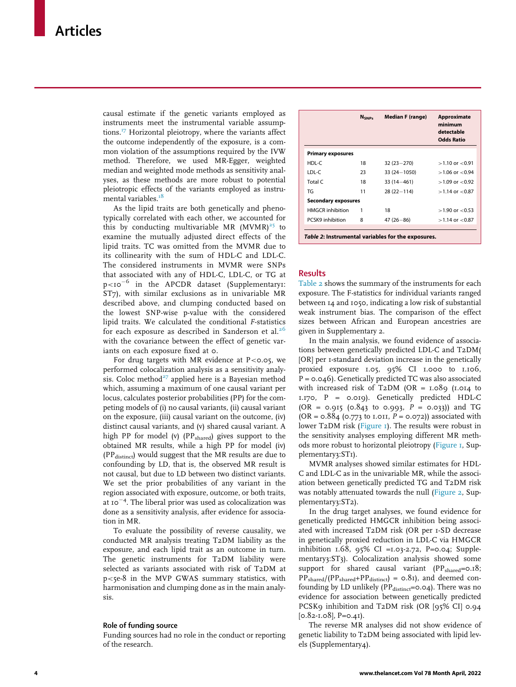<span id="page-3-0"></span>causal estimate if the genetic variants employed as instruments meet the instrumental variable assump-tions.<sup>[17](#page-8-10)</sup> Horizontal pleiotropy, where the variants affect the outcome independently of the exposure, is a common violation of the assumptions required by the IVW method. Therefore, we used MR-Egger, weighted median and weighted mode methods as sensitivity analyses, as these methods are more robust to potential pleiotropic effects of the variants employed as instru-mental variables.<sup>[18](#page-8-3)</sup>

As the lipid traits are both genetically and phenotypically correlated with each other, we accounted for this by conducting multivariable MR (MVMR)<sup>[25](#page-8-11)</sup> to examine the mutually adjusted direct effects of the lipid traits. TC was omitted from the MVMR due to its collinearity with the sum of HDL-C and LDL-C. The considered instruments in MVMR were SNPs that associated with any of HDL-C, LDL-C, or TG at  $p$ <10<sup>-6</sup> in the APCDR dataset (Supplementary1: ST7), with similar exclusions as in univariable MR described above, and clumping conducted based on the lowest SNP-wise p-value with the considered lipid traits. We calculated the conditional F-statistics for each exposure as described in Sanderson et al.<sup>[26](#page-8-12)</sup> with the covariance between the effect of genetic variants on each exposure fixed at 0.

For drug targets with MR evidence at  $P <$  0.05, we performed colocalization analysis as a sensitivity analy-sis. Coloc method<sup>[27](#page-8-13)</sup> applied here is a Bayesian method which, assuming a maximum of one causal variant per locus, calculates posterior probabilities (PP) for the competing models of (i) no causal variants, (ii) causal variant on the exposure, (iii) causal variant on the outcome, (iv) distinct causal variants, and (v) shared causal variant. A high PP for model (v) (PP<sub>shared</sub>) gives support to the obtained MR results, while a high PP for model (iv)  $(PP<sub>distinct</sub>)$  would suggest that the MR results are due to confounding by LD, that is, the observed MR result is not causal, but due to LD between two distinct variants. We set the prior probabilities of any variant in the region associated with exposure, outcome, or both traits, at 10<sup>-4</sup>. The liberal prior was used as colocalization was done as a sensitivity analysis, after evidence for association in MR.

To evaluate the possibility of reverse causality, we conducted MR analysis treating T2DM liability as the exposure, and each lipid trait as an outcome in turn. The genetic instruments for T2DM liability were selected as variants associated with risk of T2DM at p<5e-8 in the MVP GWAS summary statistics, with harmonisation and clumping done as in the main analysis.

#### Role of funding source

Funding sources had no role in the conduct or reporting of the research.

|                                                    | <b>N</b> <sub>SNPS</sub> | <b>Median F (range)</b> | Approximate<br>minimum<br>detectable<br><b>Odds Ratio</b> |
|----------------------------------------------------|--------------------------|-------------------------|-----------------------------------------------------------|
| <b>Primary exposures</b>                           |                          |                         |                                                           |
| HDL-C                                              | 18                       | $32(23 - 270)$          | $>1.10$ or $< 0.91$                                       |
| LDL-C                                              | 23                       | $33(24 - 1050)$         | $>1.06$ or $< 0.94$                                       |
| Total C                                            | 18                       | $33(14 - 461)$          | $>1.09$ or $< 0.92$                                       |
| TG                                                 | 11                       | $28(22 - 114)$          | $>1.14$ or $< 0.87$                                       |
| <b>Secondary exposures</b>                         |                          |                         |                                                           |
| <b>HMGCR</b> inhibition                            | 1                        | 18                      | $>1.90$ or $< 0.53$                                       |
| PCSK9 inhibition                                   | 8                        | $47(26 - 86)$           | $>1.14$ or $< 0.87$                                       |
| Table 2: Instrumental variables for the exposures. |                          |                         |                                                           |

## Results

[Table 2](#page-3-0) shows the summary of the instruments for each exposure. The F-statistics for individual variants ranged between 14 and 1050, indicating a low risk of substantial weak instrument bias. The comparison of the effect sizes between African and European ancestries are given in Supplementary 2.

In the main analysis, we found evidence of associations between genetically predicted LDL-C and T2DM( [OR] per 1-standard deviation increase in the genetically proxied exposure 1.05, 95% CI 1.000 to 1.106, P = 0.046). Genetically predicted TC was also associated with increased risk of T2DM (OR =  $1.089$ ) ( $1.014$  to 1.170, P = 0.019). Genetically predicted HDL-C  $(OR = 0.915 (0.843 to 0.993, P = 0.033))$  and TG (OR =  $0.884$  (0.773 to 1.011,  $P = 0.072$ )) associated with lower T2DM risk ([Figure 1\)](#page-4-0). The results were robust in the sensitivity analyses employing different MR methods more robust to horizontal pleiotropy ([Figure 1](#page-4-0), Supplementary3:ST1).

MVMR analyses showed similar estimates for HDL-C and LDL-C as in the univariable MR, while the association between genetically predicted TG and T2DM risk was notably attenuated towards the null [\(Figure 2](#page-4-1), Supplementary3:ST2).

In the drug target analyses, we found evidence for genetically predicted HMGCR inhibition being associated with increased T2DM risk (OR per 1-SD decrease in genetically proxied reduction in LDL-C via HMGCR inhibition 1.68, 95% CI =1.03-2.72, P=0.04; Supplementary3:ST3). Colocalization analysis showed some support for shared causal variant ( $PP<sub>shared</sub>=0.18$ ;  $PP<sub>shared</sub>/(PP<sub>shared</sub>+PP<sub>distinct</sub>) = 0.81$ , and deemed confounding by LD unlikely ( $PP<sub>distinct</sub>=0.04$ ). There was no evidence for association between genetically predicted PCSK9 inhibition and T2DM risk (OR [95% CI] 0.94  $[0.82 - I.08]$ , P=0.41).

The reverse MR analyses did not show evidence of genetic liability to T2DM being associated with lipid levels (Supplementary4).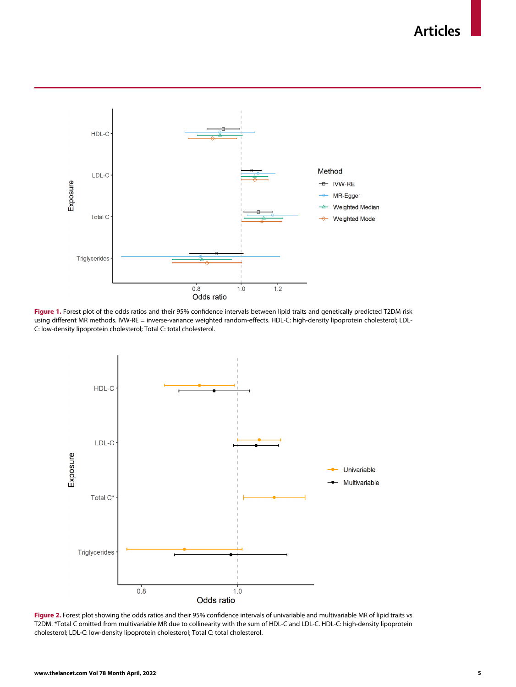Articles

<span id="page-4-0"></span>

<span id="page-4-1"></span>Figure 1. Forest plot of the odds ratios and their 95% confidence intervals between lipid traits and genetically predicted T2DM risk using different MR methods. IVW-RE = inverse-variance weighted random-effects. HDL-C: high-density lipoprotein cholesterol; LDL-C: low-density lipoprotein cholesterol; Total C: total cholesterol.



Figure 2. Forest plot showing the odds ratios and their 95% confidence intervals of univariable and multivariable MR of lipid traits vs T2DM. \*Total C omitted from multivariable MR due to collinearity with the sum of HDL-C and LDL-C. HDL-C: high-density lipoprotein cholesterol; LDL-C: low-density lipoprotein cholesterol; Total C: total cholesterol.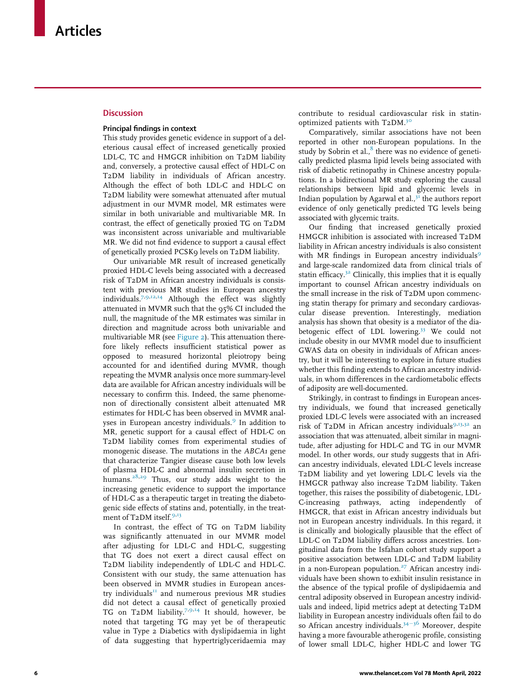### **Discussion**

## Principal findings in context

This study provides genetic evidence in support of a deleterious causal effect of increased genetically proxied LDL-C, TC and HMGCR inhibition on T2DM liability and, conversely, a protective causal effect of HDL-C on T2DM liability in individuals of African ancestry. Although the effect of both LDL-C and HDL-C on T2DM liability were somewhat attenuated after mutual adjustment in our MVMR model, MR estimates were similar in both univariable and multivariable MR. In contrast, the effect of genetically proxied TG on T2DM was inconsistent across univariable and multivariable MR. We did not find evidence to support a causal effect of genetically proxied PCSK9 levels on T2DM liability.

Our univariable MR result of increased genetically proxied HDL-C levels being associated with a decreased risk of T2DM in African ancestry individuals is consistent with previous MR studies in European ancestry individuals.[7](#page-8-0),[9](#page-8-14),[12,](#page-8-15)[14](#page-8-16) Although the effect was slightly attenuated in MVMR such that the 95% CI included the null, the magnitude of the MR estimates was similar in direction and magnitude across both univariable and multivariable MR (see [Figure 2](#page-4-1)). This attenuation therefore likely reflects insufficient statistical power as opposed to measured horizontal pleiotropy being accounted for and identified during MVMR, though repeating the MVMR analysis once more summary-level data are available for African ancestry individuals will be necessary to confirm this. Indeed, the same phenomenon of directionally consistent albeit attenuated MR estimates for HDL-C has been observed in MVMR anal-yses in European ancestry individuals.<sup>[9](#page-8-14)</sup> In addition to MR, genetic support for a causal effect of HDL-C on T2DM liability comes from experimental studies of monogenic disease. The mutations in the ABCA1 gene that characterize Tangier disease cause both low levels of plasma HDL-C and abnormal insulin secretion in humans.<sup>[28,](#page-8-17)[29](#page-8-0)</sup> Thus, our study adds weight to the increasing genetic evidence to support the importance of HDL-C as a therapeutic target in treating the diabetogenic side effects of statins and, potentially, in the treat-ment of T2DM itself.<sup>[9,](#page-8-14)[13](#page-8-18)</sup>

In contrast, the effect of TG on T2DM liability was significantly attenuated in our MVMR model after adjusting for LDL-C and HDL-C, suggesting that TG does not exert a direct causal effect on T2DM liability independently of LDL-C and HDL-C. Consistent with our study, the same attenuation has been observed in MVMR studies in European ancestry individuals $^{II}$  and numerous previous MR studies did not detect a causal effect of genetically proxied TG on T2DM liability.<sup>[7,](#page-8-0)[9,](#page-8-14)[14](#page-8-16)</sup> It should, however, be noted that targeting TG may yet be of therapeutic value in Type 2 Diabetics with dyslipidaemia in light of data suggesting that hypertriglyceridaemia may

contribute to residual cardiovascular risk in statin-optimized patients with T2DM.<sup>[30](#page-8-20)</sup>

Comparatively, similar associations have not been reported in other non-European populations. In the study by Sobrin et al., $^8$  $^8$  there was no evidence of genetically predicted plasma lipid levels being associated with risk of diabetic retinopathy in Chinese ancestry populations. In a bidirectional MR study exploring the causal relationships between lipid and glycemic levels in Indian population by Agarwal et al., $3<sup>T</sup>$  the authors report evidence of only genetically predicted TG levels being associated with glycemic traits.

Our finding that increased genetically proxied HMGCR inhibition is associated with increased T2DM liability in African ancestry individuals is also consistent with MR findings in European ancestry individuals<sup>[9](#page-8-14)</sup> and large-scale randomized data from clinical trials of statin efficacy. $32$  Clinically, this implies that it is equally important to counsel African ancestry individuals on the small increase in the risk of T2DM upon commencing statin therapy for primary and secondary cardiovascular disease prevention. Interestingly, mediation analysis has shown that obesity is a mediator of the dia-betogenic effect of LDL lowering.<sup>[33](#page-8-22)</sup> We could not include obesity in our MVMR model due to insufficient GWAS data on obesity in individuals of African ancestry, but it will be interesting to explore in future studies whether this finding extends to African ancestry individuals, in whom differences in the cardiometabolic effects of adiposity are well-documented.

Strikingly, in contrast to findings in European ancestry individuals, we found that increased genetically proxied LDL-C levels were associated with an increased risk of T2DM in African ancestry individuals $9,13,32$  $9,13,32$  $9,13,32$  $9,13,32$  $9,13,32$  an association that was attenuated, albeit similar in magnitude, after adjusting for HDL-C and TG in our MVMR model. In other words, our study suggests that in African ancestry individuals, elevated LDL-C levels increase T2DM liability and yet lowering LDL-C levels via the HMGCR pathway also increase T2DM liability. Taken together, this raises the possibility of diabetogenic, LDL-C-increasing pathways, acting independently of HMGCR, that exist in African ancestry individuals but not in European ancestry individuals. In this regard, it is clinically and biologically plausible that the effect of LDL-C on T2DM liability differs across ancestries. Longitudinal data from the Isfahan cohort study support a positive association between LDL-C and T2DM liability in a non-European population.<sup>[27](#page-8-13)</sup> African ancestry individuals have been shown to exhibit insulin resistance in the absence of the typical profile of dyslipidaemia and central adiposity observed in European ancestry individuals and indeed, lipid metrics adept at detecting T2DM liability in European ancestry individuals often fail to do so African ancestry individuals. $34-36$  $34-36$  $34-36$  Moreover, despite having a more favourable atherogenic profile, consisting of lower small LDL-C, higher HDL-C and lower TG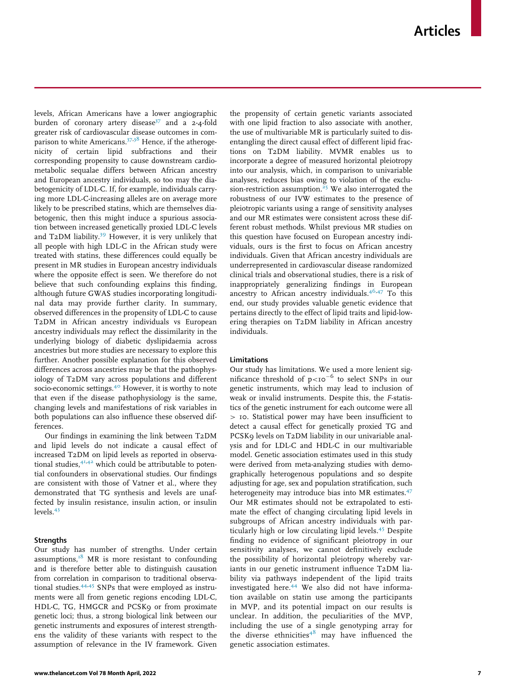levels, African Americans have a lower angiographic burden of coronary artery disease<sup>37</sup> and a 2-4-fold greater risk of cardiovascular disease outcomes in com-parison to white Americans.<sup>[37](#page-8-24)[,38](#page-8-25)</sup> Hence, if the atherogenicity of certain lipid subfractions and their corresponding propensity to cause downstream cardiometabolic sequalae differs between African ancestry and European ancestry individuals, so too may the diabetogenicity of LDL-C. If, for example, individuals carrying more LDL-C-increasing alleles are on average more likely to be prescribed statins, which are themselves diabetogenic, then this might induce a spurious association between increased genetically proxied LDL-C levels and T2DM liability.<sup>[39](#page-8-3)</sup> However, it is very unlikely that all people with high LDL-C in the African study were treated with statins, these differences could equally be present in MR studies in European ancestry individuals where the opposite effect is seen. We therefore do not believe that such confounding explains this finding, although future GWAS studies incorporating longitudinal data may provide further clarity. In summary, observed differences in the propensity of LDL-C to cause T2DM in African ancestry individuals vs European ancestry individuals may reflect the dissimilarity in the underlying biology of diabetic dyslipidaemia across ancestries but more studies are necessary to explore this further. Another possible explanation for this observed differences across ancestries may be that the pathophysiology of T2DM vary across populations and different socio-economic settings.<sup>[40](#page-8-4)</sup> However, it is worthy to note that even if the disease pathophysiology is the same, changing levels and manifestations of risk variables in both populations can also influence these observed differences.

Our findings in examining the link between T2DM and lipid levels do not indicate a causal effect of increased T2DM on lipid levels as reported in observational studies, $4^{1,42}$  $4^{1,42}$  $4^{1,42}$  which could be attributable to potential confounders in observational studies. Our findings are consistent with those of Vatner et al., where they demonstrated that TG synthesis and levels are unaffected by insulin resistance, insulin action, or insulin levels.<sup>[43](#page-8-28)</sup>

## **Strengths**

Our study has number of strengths. Under certain assumptions, $18$  MR is more resistant to confounding and is therefore better able to distinguish causation from correlation in comparison to traditional observa-tional studies.<sup>[44,](#page-8-29)[45](#page-8-30)</sup> SNPs that were employed as instruments were all from genetic regions encoding LDL-C, HDL-C, TG, HMGCR and PCSK9 or from proximate genetic loci; thus, a strong biological link between our genetic instruments and exposures of interest strengthens the validity of these variants with respect to the assumption of relevance in the IV framework. Given the propensity of certain genetic variants associated with one lipid fraction to also associate with another, the use of multivariable MR is particularly suited to disentangling the direct causal effect of different lipid fractions on T2DM liability. MVMR enables us to incorporate a degree of measured horizontal pleiotropy into our analysis, which, in comparison to univariable analyses, reduces bias owing to violation of the exclu-sion-restriction assumption.<sup>[25](#page-8-11)</sup> We also interrogated the robustness of our IVW estimates to the presence of pleiotropic variants using a range of sensitivity analyses and our MR estimates were consistent across these different robust methods. Whilst previous MR studies on this question have focused on European ancestry individuals, ours is the first to focus on African ancestry individuals. Given that African ancestry individuals are underrepresented in cardiovascular disease randomized clinical trials and observational studies, there is a risk of inappropriately generalizing findings in European ancestry to African ancestry individuals.[46,](#page-8-31)[47](#page-8-32) To this end, our study provides valuable genetic evidence that pertains directly to the effect of lipid traits and lipid-lowering therapies on T2DM liability in African ancestry individuals.

## Limitations

Our study has limitations. We used a more lenient significance threshold of  $p < 10^{-6}$  to select SNPs in our genetic instruments, which may lead to inclusion of weak or invalid instruments. Despite this, the F-statistics of the genetic instrument for each outcome were all > 10. Statistical power may have been insufficient to detect a causal effect for genetically proxied TG and PCSK9 levels on T2DM liability in our univariable analysis and for LDL-C and HDL-C in our multivariable model. Genetic association estimates used in this study were derived from meta-analyzing studies with demographically heterogenous populations and so despite adjusting for age, sex and population stratification, such heterogeneity may introduce bias into MR estimates.<sup>[47](#page-8-32)</sup> Our MR estimates should not be extrapolated to estimate the effect of changing circulating lipid levels in subgroups of African ancestry individuals with par-ticularly high or low circulating lipid levels.<sup>[45](#page-8-30)</sup> Despite finding no evidence of significant pleiotropy in our sensitivity analyses, we cannot definitively exclude the possibility of horizontal pleiotropy whereby variants in our genetic instrument influence T2DM liability via pathways independent of the lipid traits investigated here.<sup>[44](#page-8-29)</sup> We also did not have information available on statin use among the participants in MVP, and its potential impact on our results is unclear. In addition, the peculiarities of the MVP, including the use of a single genotyping array for the diverse ethnicities $48$  may have influenced the genetic association estimates.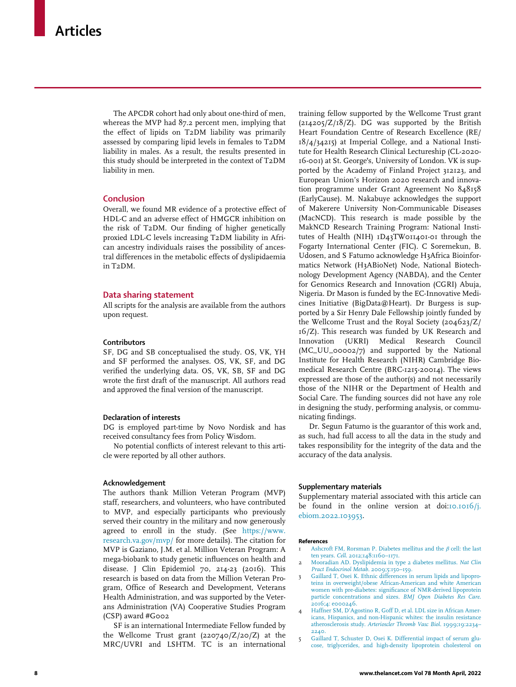The APCDR cohort had only about one-third of men, whereas the MVP had 87.2 percent men, implying that the effect of lipids on T2DM liability was primarily assessed by comparing lipid levels in females to T2DM liability in males. As a result, the results presented in this study should be interpreted in the context of T2DM liability in men.

## **Conclusion**

Overall, we found MR evidence of a protective effect of HDL-C and an adverse effect of HMGCR inhibition on the risk of T2DM. Our finding of higher genetically proxied LDL-C levels increasing T2DM liability in African ancestry individuals raises the possibility of ancestral differences in the metabolic effects of dyslipidaemia in T2DM.

#### Data sharing statement

All scripts for the analysis are available from the authors upon request.

#### Contributors

SF, DG and SB conceptualised the study. OS, VK, YH and SF performed the analyses. OS, VK, SF, and DG verified the underlying data. OS, VK, SB, SF and DG wrote the first draft of the manuscript. All authors read and approved the final version of the manuscript.

#### Declaration of interests

DG is employed part-time by Novo Nordisk and has received consultancy fees from Policy Wisdom.

No potential conflicts of interest relevant to this article were reported by all other authors.

#### Acknowledgement

<span id="page-7-0"></span>The authors thank Million Veteran Program (MVP) staff, researchers, and volunteers, who have contributed to MVP, and especially participants who previously served their country in the military and now generously agreed to enroll in the study. (See [https://www.](https://www.research.va.gov/mvp/) [research.va.gov/mvp/](https://www.research.va.gov/mvp/) for more details). The citation for MVP is Gaziano, J.M. et al. Million Veteran Program: A mega-biobank to study genetic influences on health and disease. J Clin Epidemiol 70, 214-23 (2016). This research is based on data from the Million Veteran Program, Office of Research and Development, Veterans Health Administration, and was supported by the Veterans Administration (VA) Cooperative Studies Program (CSP) award #G002

<span id="page-7-1"></span>SF is an international Intermediate Fellow funded by the Wellcome Trust grant (220740/Z/20/Z) at the MRC/UVRI and LSHTM. TC is an international

training fellow supported by the Wellcome Trust grant  $(2I4205/Z/I8/Z)$ . DG was supported by the British Heart Foundation Centre of Research Excellence (RE/ 18/4/34215) at Imperial College, and a National Institute for Health Research Clinical Lectureship (CL-2020- 16-001) at St. George's, University of London. VK is supported by the Academy of Finland Project 312123, and European Union's Horizon 2020 research and innovation programme under Grant Agreement No 848158 (EarlyCause). M. Nakabuye acknowledges the support of Makerere University Non-Communicable Diseases (MacNCD). This research is made possible by the MakNCD Research Training Program: National Institutes of Health (NIH) 1D43TW011401-01 through the Fogarty International Center (FIC). C Soremekun, B. Udosen, and S Fatumo acknowledge H3Africa Bioinformatics Network (H3ABioNet) Node, National Biotechnology Development Agency (NABDA), and the Center for Genomics Research and Innovation (CGRI) Abuja, Nigeria. Dr Mason is funded by the EC-Innovative Medicines Initiative (BigData@Heart). Dr Burgess is supported by a Sir Henry Dale Fellowship jointly funded by the Wellcome Trust and the Royal Society (204623/Z/ 16/Z). This research was funded by UK Research and Innovation (UKRI) Medical Research Council (MC\_UU\_00002/7) and supported by the National Institute for Health Research (NIHR) Cambridge Biomedical Research Centre (BRC-1215-20014). The views expressed are those of the author(s) and not necessarily those of the NIHR or the Department of Health and Social Care. The funding sources did not have any role in designing the study, performing analysis, or communicating findings.

Dr. Segun Fatumo is the guarantor of this work and, as such, had full access to all the data in the study and takes responsibility for the integrity of the data and the accuracy of the data analysis.

#### Supplementary materials

Supplementary material associated with this article can be found in the online version at doi[:10.1016/j.](https://doi.org/10.1016/j.ebiom.2022.103953) [ebiom.2022.103953.](https://doi.org/10.1016/j.ebiom.2022.103953)

#### References

- [Ashcroft FM, Rorsman P. Diabetes mellitus and the](http://refhub.elsevier.com/S2352-3964(22)00137-2/sbref0001)  $\beta$  [cell: the last](http://refhub.elsevier.com/S2352-3964(22)00137-2/sbref0001) ten years. Cell[. 2012;148:1160–1171.](http://refhub.elsevier.com/S2352-3964(22)00137-2/sbref0001)
- 2 [Mooradian AD. Dyslipidemia in type 2 diabetes mellitus.](http://refhub.elsevier.com/S2352-3964(22)00137-2/sbref0002) Nat Clin [Pract Endocrinol Metab](http://refhub.elsevier.com/S2352-3964(22)00137-2/sbref0002). 2009;5:150–159.
- 3 [Gaillard T, Osei K. Ethnic differences in serum lipids and lipopro](http://refhub.elsevier.com/S2352-3964(22)00137-2/sbref0003)[teins in overweight/obese African-American and white American](http://refhub.elsevier.com/S2352-3964(22)00137-2/sbref0003) [women with pre-diabetes: significance of NMR-derived lipoprotein](http://refhub.elsevier.com/S2352-3964(22)00137-2/sbref0003) [particle concentrations and sizes.](http://refhub.elsevier.com/S2352-3964(22)00137-2/sbref0003) BMJ Open Diabetes Res Care. [2016;4: e000246.](http://refhub.elsevier.com/S2352-3964(22)00137-2/sbref0003)
- 4 [Haffner SM, D'Agostino R, Goff D, et al. LDL size in African Amer](http://refhub.elsevier.com/S2352-3964(22)00137-2/sbref0004)[icans, Hispanics, and non-Hispanic whites: the insulin resistance](http://refhub.elsevier.com/S2352-3964(22)00137-2/sbref0004) atherosclerosis study. [Arterioscler Thromb Vasc Biol](http://refhub.elsevier.com/S2352-3964(22)00137-2/sbref0004). 1999;19:2234– [2240.](http://refhub.elsevier.com/S2352-3964(22)00137-2/sbref0004)
- 5 [Gaillard T, Schuster D, Osei K. Differential impact of serum glu](http://refhub.elsevier.com/S2352-3964(22)00137-2/sbref0005)[cose, triglycerides, and high-density lipoprotein cholesterol on](http://refhub.elsevier.com/S2352-3964(22)00137-2/sbref0005)